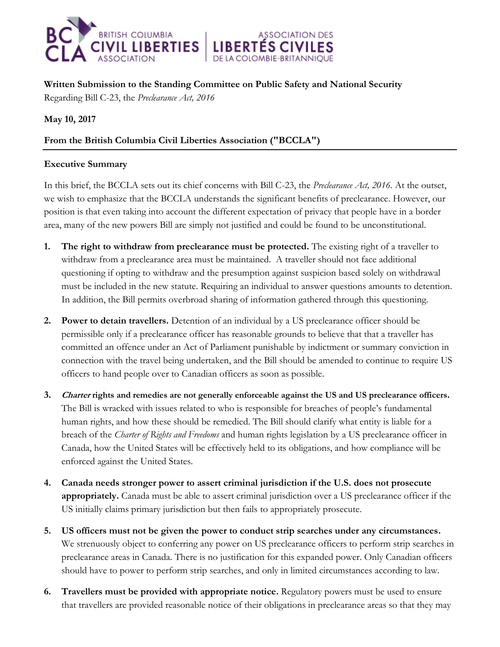

**Written Submission to the Standing Committee on Public Safety and National Security** 

**ASSOCIATION DES** 

Regarding Bill C-23, the *Preclearance Act, 2016*

**May 10, 2017** 

# **From the British Columbia Civil Liberties Association ("BCCLA")**

### **Executive Summary**

In this brief, the BCCLA sets out its chief concerns with Bill C-23, the *Preclearance Act, 2016.* At the outset, we wish to emphasize that the BCCLA understands the significant benefits of preclearance. However, our position is that even taking into account the different expectation of privacy that people have in a border area, many of the new powers Bill are simply not justified and could be found to be unconstitutional.

- **1. The right to withdraw from preclearance must be protected.** The existing right of a traveller to withdraw from a preclearance area must be maintained. A traveller should not face additional questioning if opting to withdraw and the presumption against suspicion based solely on withdrawal must be included in the new statute. Requiring an individual to answer questions amounts to detention. In addition, the Bill permits overbroad sharing of information gathered through this questioning.
- **2. Power to detain travellers.** Detention of an individual by a US preclearance officer should be permissible only if a preclearance officer has reasonable grounds to believe that that a traveller has committed an offence under an Act of Parliament punishable by indictment or summary conviction in connection with the travel being undertaken, and the Bill should be amended to continue to require US officers to hand people over to Canadian officers as soon as possible.
- **3. Charter rights and remedies are not generally enforceable against the US and US preclearance officers.**  The Bill is wracked with issues related to who is responsible for breaches of people's fundamental human rights, and how these should be remedied. The Bill should clarify what entity is liable for a breach of the *Charter of Rights and Freedoms* and human rights legislation by a US preclearance officer in Canada, how the United States will be effectively held to its obligations, and how compliance will be enforced against the United States.
- **4. Canada needs stronger power to assert criminal jurisdiction if the U.S. does not prosecute appropriately.** Canada must be able to assert criminal jurisdiction over a US preclearance officer if the US initially claims primary jurisdiction but then fails to appropriately prosecute.
- **5. US officers must not be given the power to conduct strip searches under any circumstances.**  We strenuously object to conferring any power on US preclearance officers to perform strip searches in preclearance areas in Canada. There is no justification for this expanded power. Only Canadian officers should have to power to perform strip searches, and only in limited circumstances according to law.
- **6. Travellers must be provided with appropriate notice.** Regulatory powers must be used to ensure that travellers are provided reasonable notice of their obligations in preclearance areas so that they may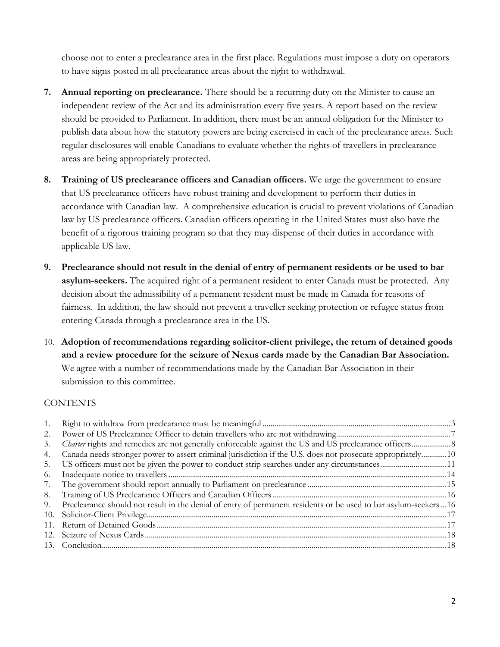choose not to enter a preclearance area in the first place. Regulations must impose a duty on operators to have signs posted in all preclearance areas about the right to withdrawal.

- **7. Annual reporting on preclearance.** There should be a recurring duty on the Minister to cause an independent review of the Act and its administration every five years. A report based on the review should be provided to Parliament. In addition, there must be an annual obligation for the Minister to publish data about how the statutory powers are being exercised in each of the preclearance areas. Such regular disclosures will enable Canadians to evaluate whether the rights of travellers in preclearance areas are being appropriately protected.
- **8. Training of US preclearance officers and Canadian officers.** We urge the government to ensure that US preclearance officers have robust training and development to perform their duties in accordance with Canadian law. A comprehensive education is crucial to prevent violations of Canadian law by US preclearance officers. Canadian officers operating in the United States must also have the benefit of a rigorous training program so that they may dispense of their duties in accordance with applicable US law.
- **9. Preclearance should not result in the denial of entry of permanent residents or be used to bar asylum-seekers.** The acquired right of a permanent resident to enter Canada must be protected. Any decision about the admissibility of a permanent resident must be made in Canada for reasons of fairness. In addition, the law should not prevent a traveller seeking protection or refugee status from entering Canada through a preclearance area in the US.
- 10. **Adoption of recommendations regarding solicitor-client privilege, the return of detained goods and a review procedure for the seizure of Nexus cards made by the Canadian Bar Association.**  We agree with a number of recommendations made by the Canadian Bar Association in their submission to this committee.

### **CONTENTS**

| 1. |                                                                                                                   |  |
|----|-------------------------------------------------------------------------------------------------------------------|--|
| 2. |                                                                                                                   |  |
| 3. |                                                                                                                   |  |
| 4. | Canada needs stronger power to assert criminal jurisdiction if the U.S. does not prosecute appropriately10        |  |
| 5. |                                                                                                                   |  |
| 6. |                                                                                                                   |  |
| 7. |                                                                                                                   |  |
| 8. |                                                                                                                   |  |
| 9. | Preclearance should not result in the denial of entry of permanent residents or be used to bar asylum-seekers  16 |  |
|    |                                                                                                                   |  |
|    |                                                                                                                   |  |
|    |                                                                                                                   |  |
|    |                                                                                                                   |  |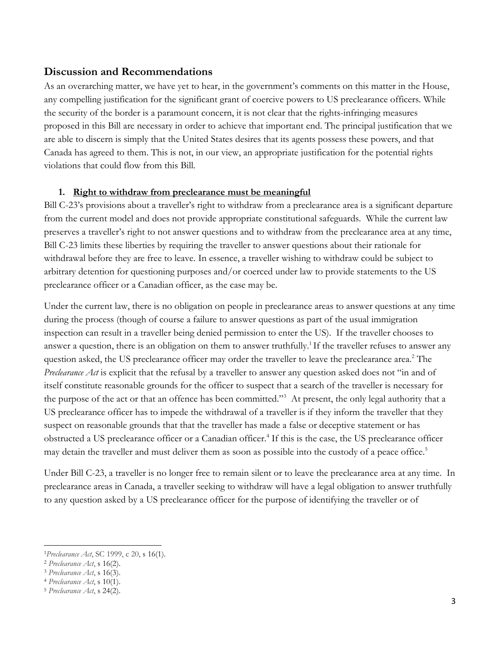#### **Discussion and Recommendations**

As an overarching matter, we have yet to hear, in the government's comments on this matter in the House, any compelling justification for the significant grant of coercive powers to US preclearance officers. While the security of the border is a paramount concern, it is not clear that the rights-infringing measures proposed in this Bill are necessary in order to achieve that important end. The principal justification that we are able to discern is simply that the United States desires that its agents possess these powers, and that Canada has agreed to them. This is not, in our view, an appropriate justification for the potential rights violations that could flow from this Bill.

#### <span id="page-2-0"></span>**1. Right to withdraw from preclearance must be meaningful**

Bill C-23's provisions about a traveller's right to withdraw from a preclearance area is a significant departure from the current model and does not provide appropriate constitutional safeguards. While the current law preserves a traveller's right to not answer questions and to withdraw from the preclearance area at any time, Bill C-23 limits these liberties by requiring the traveller to answer questions about their rationale for withdrawal before they are free to leave. In essence, a traveller wishing to withdraw could be subject to arbitrary detention for questioning purposes and/or coerced under law to provide statements to the US preclearance officer or a Canadian officer, as the case may be.

Under the current law, there is no obligation on people in preclearance areas to answer questions at any time during the process (though of course a failure to answer questions as part of the usual immigration inspection can result in a traveller being denied permission to enter the US). If the traveller chooses to answer a question, there is an obligation on them to answer truthfully.<sup>1</sup> If the traveller refuses to answer any question asked, the US preclearance officer may order the traveller to leave the preclearance area.<sup>2</sup> The *Preclearance Act* is explicit that the refusal by a traveller to answer any question asked does not "in and of itself constitute reasonable grounds for the officer to suspect that a search of the traveller is necessary for the purpose of the act or that an offence has been committed."<sup>3</sup> At present, the only legal authority that a US preclearance officer has to impede the withdrawal of a traveller is if they inform the traveller that they suspect on reasonable grounds that that the traveller has made a false or deceptive statement or has obstructed a US preclearance officer or a Canadian officer.<sup>4</sup> If this is the case, the US preclearance officer may detain the traveller and must deliver them as soon as possible into the custody of a peace office.<sup>5</sup>

Under Bill C-23, a traveller is no longer free to remain silent or to leave the preclearance area at any time. In preclearance areas in Canada, a traveller seeking to withdraw will have a legal obligation to answer truthfully to any question asked by a US preclearance officer for the purpose of identifying the traveller or of

<sup>1</sup>*Preclearance Act*, SC 1999, c 20, s 16(1).

<sup>2</sup> *Preclearance Act*, s 16(2).

<sup>3</sup> *Preclearance Act*, s 16(3).

<sup>4</sup> *Preclearance Act*, s 10(1).

<sup>5</sup> *Preclearance Act*, s 24(2).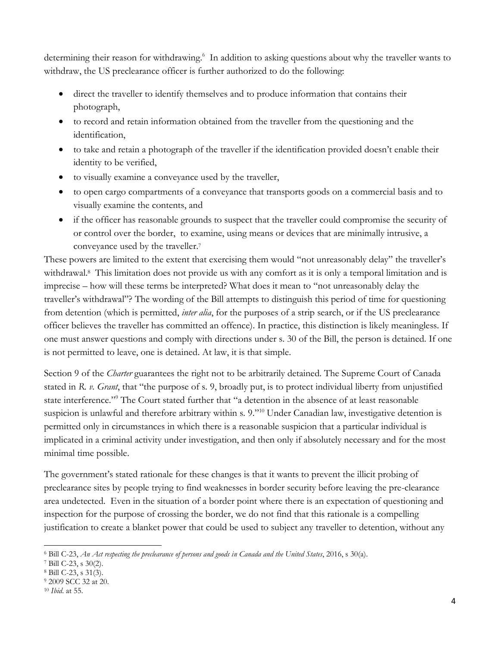determining their reason for withdrawing.<sup>6</sup> In addition to asking questions about why the traveller wants to withdraw, the US preclearance officer is further authorized to do the following:

- direct the traveller to identify themselves and to produce information that contains their photograph,
- to record and retain information obtained from the traveller from the questioning and the identification,
- to take and retain a photograph of the traveller if the identification provided doesn't enable their identity to be verified,
- to visually examine a conveyance used by the traveller,
- to open cargo compartments of a conveyance that transports goods on a commercial basis and to visually examine the contents, and
- if the officer has reasonable grounds to suspect that the traveller could compromise the security of or control over the border, to examine, using means or devices that are minimally intrusive, a conveyance used by the traveller. 7

These powers are limited to the extent that exercising them would "not unreasonably delay" the traveller's withdrawal.<sup>8</sup> This limitation does not provide us with any comfort as it is only a temporal limitation and is imprecise – how will these terms be interpreted? What does it mean to "not unreasonably delay the traveller's withdrawal"? The wording of the Bill attempts to distinguish this period of time for questioning from detention (which is permitted, *inter alia*, for the purposes of a strip search, or if the US preclearance officer believes the traveller has committed an offence). In practice, this distinction is likely meaningless. If one must answer questions and comply with directions under s. 30 of the Bill, the person is detained. If one is not permitted to leave, one is detained. At law, it is that simple.

Section 9 of the *Charter* guarantees the right not to be arbitrarily detained. The Supreme Court of Canada stated in *R. v. Grant*, that "the purpose of s. 9, broadly put, is to protect individual liberty from unjustified state interference." <sup>9</sup> The Court stated further that "a detention in the absence of at least reasonable suspicion is unlawful and therefore arbitrary within s. 9."<sup>10</sup> Under Canadian law, investigative detention is permitted only in circumstances in which there is a reasonable suspicion that a particular individual is implicated in a criminal activity under investigation, and then only if absolutely necessary and for the most minimal time possible.

The government's stated rationale for these changes is that it wants to prevent the illicit probing of preclearance sites by people trying to find weaknesses in border security before leaving the pre-clearance area undetected. Even in the situation of a border point where there is an expectation of questioning and inspection for the purpose of crossing the border, we do not find that this rationale is a compelling justification to create a blanket power that could be used to subject any traveller to detention, without any

<sup>6</sup> Bill C-23, *An Act respecting the preclearance of persons and goods in Canada and the United States*, 2016, s 30(a).

<sup>7</sup> Bill C-23, s 30(2).

<sup>8</sup> Bill C-23, s 31(3).

<sup>9</sup> 2009 SCC 32 at 20.

<sup>10</sup> *Ibid*. at 55.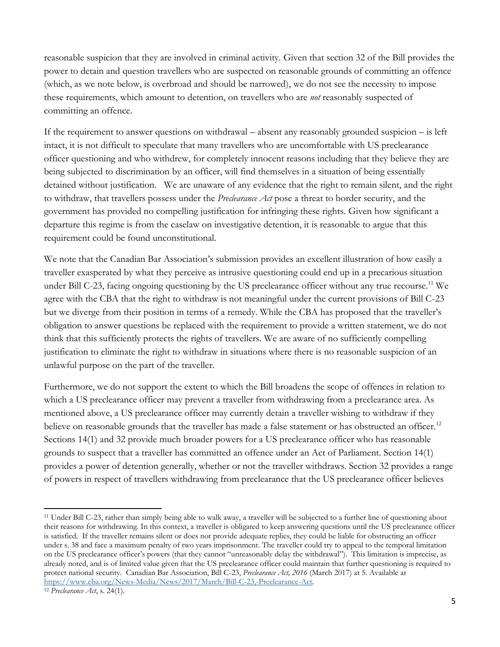reasonable suspicion that they are involved in criminal activity. Given that section 32 of the Bill provides the power to detain and question travellers who are suspected on reasonable grounds of committing an offence (which, as we note below, is overbroad and should be narrowed), we do not see the necessity to impose these requirements, which amount to detention, on travellers who are *not* reasonably suspected of committing an offence.

If the requirement to answer questions on withdrawal – absent any reasonably grounded suspicion – is left intact, it is not difficult to speculate that many travellers who are uncomfortable with US preclearance officer questioning and who withdrew, for completely innocent reasons including that they believe they are being subjected to discrimination by an officer, will find themselves in a situation of being essentially detained without justification. We are unaware of any evidence that the right to remain silent, and the right to withdraw, that travellers possess under the *Preclearance Act* pose a threat to border security, and the government has provided no compelling justification for infringing these rights. Given how significant a departure this regime is from the caselaw on investigative detention, it is reasonable to argue that this requirement could be found unconstitutional.

We note that the Canadian Bar Association's submission provides an excellent illustration of how easily a traveller exasperated by what they perceive as intrusive questioning could end up in a precarious situation under Bill C-23, facing ongoing questioning by the US preclearance officer without any true recourse.<sup>11</sup> We agree with the CBA that the right to withdraw is not meaningful under the current provisions of Bill C-23 but we diverge from their position in terms of a remedy. While the CBA has proposed that the traveller's obligation to answer questions be replaced with the requirement to provide a written statement, we do not think that this sufficiently protects the rights of travellers. We are aware of no sufficiently compelling justification to eliminate the right to withdraw in situations where there is no reasonable suspicion of an unlawful purpose on the part of the traveller.

Furthermore, we do not support the extent to which the Bill broadens the scope of offences in relation to which a US preclearance officer may prevent a traveller from withdrawing from a preclearance area. As mentioned above, a US preclearance officer may currently detain a traveller wishing to withdraw if they believe on reasonable grounds that the traveller has made a false statement or has obstructed an officer.<sup>12</sup> Sections 14(1) and 32 provide much broader powers for a US preclearance officer who has reasonable grounds to suspect that a traveller has committed an offence under an Act of Parliament. Section 14(1) provides a power of detention generally, whether or not the traveller withdraws. Section 32 provides a range of powers in respect of travellers withdrawing from preclearance that the US preclearance officer believes

<sup>11</sup> Under Bill C-23, rather than simply being able to walk away, a traveller will be subjected to a further line of questioning about their reasons for withdrawing. In this context, a traveller is obligated to keep answering questions until the US preclearance officer is satisfied. If the traveller remains silent or does not provide adequate replies, they could be liable for obstructing an officer under s. 38 and face a maximum penalty of two years imprisonment. The traveller could try to appeal to the temporal limitation on the US preclearance officer's powers (that they cannot "unreasonably delay the withdrawal"). This limitation is imprecise, as already noted, and is of limited value given that the US preclearance officer could maintain that further questioning is required to protect national security. Canadian Bar Association, Bill C-23, *Preclearance Act, 2016* (March 2017) at 5. Available at [https://www.cba.org/News-Media/News/2017/March/Bill-C-23,-Preclearance-Act.](https://www.cba.org/News-Media/News/2017/March/Bill-C-23,-Preclearance-Act) 

<sup>12</sup> *Preclearance Act*, s. 24(1).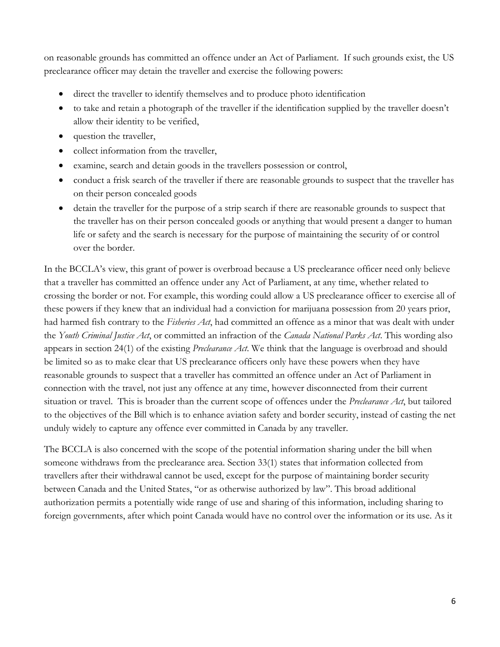on reasonable grounds has committed an offence under an Act of Parliament. If such grounds exist, the US preclearance officer may detain the traveller and exercise the following powers:

- direct the traveller to identify themselves and to produce photo identification
- to take and retain a photograph of the traveller if the identification supplied by the traveller doesn't allow their identity to be verified,
- question the traveller,
- collect information from the traveller,
- examine, search and detain goods in the travellers possession or control,
- conduct a frisk search of the traveller if there are reasonable grounds to suspect that the traveller has on their person concealed goods
- detain the traveller for the purpose of a strip search if there are reasonable grounds to suspect that the traveller has on their person concealed goods or anything that would present a danger to human life or safety and the search is necessary for the purpose of maintaining the security of or control over the border.

In the BCCLA's view, this grant of power is overbroad because a US preclearance officer need only believe that a traveller has committed an offence under any Act of Parliament, at any time, whether related to crossing the border or not. For example, this wording could allow a US preclearance officer to exercise all of these powers if they knew that an individual had a conviction for marijuana possession from 20 years prior, had harmed fish contrary to the *Fisheries Act*, had committed an offence as a minor that was dealt with under the *Youth Criminal Justice Act*, or committed an infraction of the *Canada National Parks Act*. This wording also appears in section 24(1) of the existing *Preclearance Act*. We think that the language is overbroad and should be limited so as to make clear that US preclearance officers only have these powers when they have reasonable grounds to suspect that a traveller has committed an offence under an Act of Parliament in connection with the travel, not just any offence at any time, however disconnected from their current situation or travel. This is broader than the current scope of offences under the *Preclearance Act*, but tailored to the objectives of the Bill which is to enhance aviation safety and border security, instead of casting the net unduly widely to capture any offence ever committed in Canada by any traveller.

The BCCLA is also concerned with the scope of the potential information sharing under the bill when someone withdraws from the preclearance area. Section 33(1) states that information collected from travellers after their withdrawal cannot be used, except for the purpose of maintaining border security between Canada and the United States, "or as otherwise authorized by law". This broad additional authorization permits a potentially wide range of use and sharing of this information, including sharing to foreign governments, after which point Canada would have no control over the information or its use. As it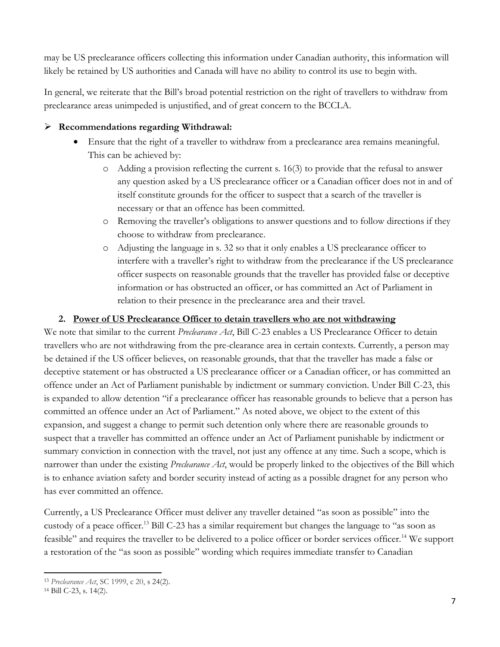may be US preclearance officers collecting this information under Canadian authority, this information will likely be retained by US authorities and Canada will have no ability to control its use to begin with.

In general, we reiterate that the Bill's broad potential restriction on the right of travellers to withdraw from preclearance areas unimpeded is unjustified, and of great concern to the BCCLA.

## **Recommendations regarding Withdrawal:**

- Ensure that the right of a traveller to withdraw from a preclearance area remains meaningful. This can be achieved by:
	- o Adding a provision reflecting the current s. 16(3) to provide that the refusal to answer any question asked by a US preclearance officer or a Canadian officer does not in and of itself constitute grounds for the officer to suspect that a search of the traveller is necessary or that an offence has been committed.
	- o Removing the traveller's obligations to answer questions and to follow directions if they choose to withdraw from preclearance.
	- o Adjusting the language in s. 32 so that it only enables a US preclearance officer to interfere with a traveller's right to withdraw from the preclearance if the US preclearance officer suspects on reasonable grounds that the traveller has provided false or deceptive information or has obstructed an officer, or has committed an Act of Parliament in relation to their presence in the preclearance area and their travel.

### **2. Power of US Preclearance Officer to detain travellers who are not withdrawing**

<span id="page-6-0"></span>We note that similar to the current *Preclearance Act*, Bill C-23 enables a US Preclearance Officer to detain travellers who are not withdrawing from the pre-clearance area in certain contexts. Currently, a person may be detained if the US officer believes, on reasonable grounds, that that the traveller has made a false or deceptive statement or has obstructed a US preclearance officer or a Canadian officer, or has committed an offence under an Act of Parliament punishable by indictment or summary conviction. Under Bill C-23, this is expanded to allow detention "if a preclearance officer has reasonable grounds to believe that a person has committed an offence under an Act of Parliament." As noted above, we object to the extent of this expansion, and suggest a change to permit such detention only where there are reasonable grounds to suspect that a traveller has committed an offence under an Act of Parliament punishable by indictment or summary conviction in connection with the travel, not just any offence at any time. Such a scope, which is narrower than under the existing *Preclearance Act*, would be properly linked to the objectives of the Bill which is to enhance aviation safety and border security instead of acting as a possible dragnet for any person who has ever committed an offence.

Currently, a US Preclearance Officer must deliver any traveller detained "as soon as possible" into the custody of a peace officer.<sup>13</sup> Bill C-23 has a similar requirement but changes the language to "as soon as feasible" and requires the traveller to be delivered to a police officer or border services officer.<sup>14</sup> We support a restoration of the "as soon as possible" wording which requires immediate transfer to Canadian

 $\overline{a}$ <sup>13</sup> *Preclearance Act*, SC 1999, c 20, s 24(2).

<sup>14</sup> Bill C-23, s. 14(2).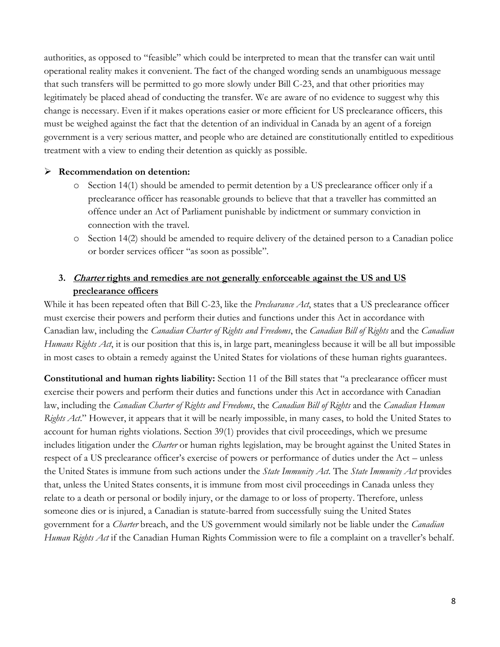authorities, as opposed to "feasible" which could be interpreted to mean that the transfer can wait until operational reality makes it convenient. The fact of the changed wording sends an unambiguous message that such transfers will be permitted to go more slowly under Bill C-23, and that other priorities may legitimately be placed ahead of conducting the transfer. We are aware of no evidence to suggest why this change is necessary. Even if it makes operations easier or more efficient for US preclearance officers, this must be weighed against the fact that the detention of an individual in Canada by an agent of a foreign government is a very serious matter, and people who are detained are constitutionally entitled to expeditious treatment with a view to ending their detention as quickly as possible.

#### **Recommendation on detention:**

- o Section 14(1) should be amended to permit detention by a US preclearance officer only if a preclearance officer has reasonable grounds to believe that that a traveller has committed an offence under an Act of Parliament punishable by indictment or summary conviction in connection with the travel.
- o Section 14(2) should be amended to require delivery of the detained person to a Canadian police or border services officer "as soon as possible".

### <span id="page-7-0"></span>**3. Charter rights and remedies are not generally enforceable against the US and US preclearance officers**

While it has been repeated often that Bill C-23, like the *Preclearance Act*, states that a US preclearance officer must exercise their powers and perform their duties and functions under this Act in accordance with Canadian law, including the *Canadian Charter of Rights and Freedoms*, the *Canadian Bill of Rights* and the *Canadian Humans Rights Act*, it is our position that this is, in large part, meaningless because it will be all but impossible in most cases to obtain a remedy against the United States for violations of these human rights guarantees.

**Constitutional and human rights liability:** Section 11 of the Bill states that "a preclearance officer must exercise their powers and perform their duties and functions under this Act in accordance with Canadian law, including the *Canadian Charter of Rights and Freedoms*, the *Canadian Bill of Rights* and the *Canadian Human Rights Act*." However, it appears that it will be nearly impossible, in many cases, to hold the United States to account for human rights violations. Section 39(1) provides that civil proceedings, which we presume includes litigation under the *Charter* or human rights legislation, may be brought against the United States in respect of a US preclearance officer's exercise of powers or performance of duties under the Act – unless the United States is immune from such actions under the *State Immunity Act*. The *State Immunity Act* provides that, unless the United States consents, it is immune from most civil proceedings in Canada unless they relate to a death or personal or bodily injury, or the damage to or loss of property. Therefore, unless someone dies or is injured, a Canadian is statute-barred from successfully suing the United States government for a *Charter* breach, and the US government would similarly not be liable under the *Canadian Human Rights Act* if the Canadian Human Rights Commission were to file a complaint on a traveller's behalf.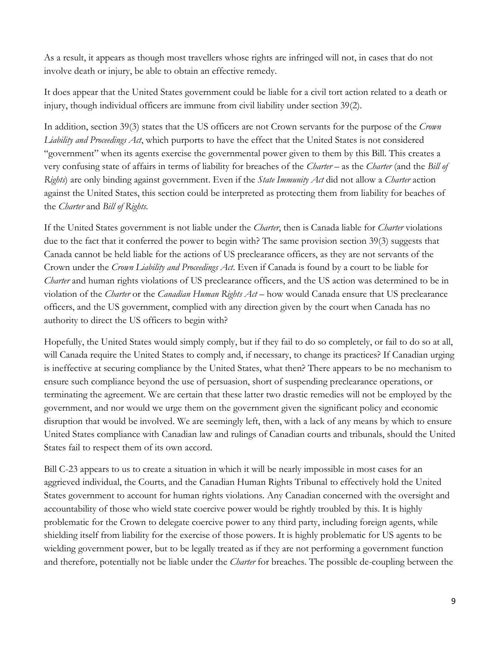As a result, it appears as though most travellers whose rights are infringed will not, in cases that do not involve death or injury, be able to obtain an effective remedy.

It does appear that the United States government could be liable for a civil tort action related to a death or injury, though individual officers are immune from civil liability under section 39(2).

In addition, section 39(3) states that the US officers are not Crown servants for the purpose of the *Crown Liability and Proceedings Act*, which purports to have the effect that the United States is not considered "government" when its agents exercise the governmental power given to them by this Bill. This creates a very confusing state of affairs in terms of liability for breaches of the *Charter* – as the *Charter* (and the *Bill of Rights*) are only binding against government. Even if the *State Immunity Act* did not allow a *Charter* action against the United States, this section could be interpreted as protecting them from liability for beaches of the *Charter* and *Bill of Rights*.

If the United States government is not liable under the *Charter*, then is Canada liable for *Charter* violations due to the fact that it conferred the power to begin with? The same provision section 39(3) suggests that Canada cannot be held liable for the actions of US preclearance officers, as they are not servants of the Crown under the *Crown Liability and Proceedings Act*. Even if Canada is found by a court to be liable for *Charter* and human rights violations of US preclearance officers, and the US action was determined to be in violation of the *Charter* or the *Canadian Human Rights Act* – how would Canada ensure that US preclearance officers, and the US government, complied with any direction given by the court when Canada has no authority to direct the US officers to begin with?

Hopefully, the United States would simply comply, but if they fail to do so completely, or fail to do so at all, will Canada require the United States to comply and, if necessary, to change its practices? If Canadian urging is ineffective at securing compliance by the United States, what then? There appears to be no mechanism to ensure such compliance beyond the use of persuasion, short of suspending preclearance operations, or terminating the agreement. We are certain that these latter two drastic remedies will not be employed by the government, and nor would we urge them on the government given the significant policy and economic disruption that would be involved. We are seemingly left, then, with a lack of any means by which to ensure United States compliance with Canadian law and rulings of Canadian courts and tribunals, should the United States fail to respect them of its own accord.

Bill C-23 appears to us to create a situation in which it will be nearly impossible in most cases for an aggrieved individual, the Courts, and the Canadian Human Rights Tribunal to effectively hold the United States government to account for human rights violations. Any Canadian concerned with the oversight and accountability of those who wield state coercive power would be rightly troubled by this. It is highly problematic for the Crown to delegate coercive power to any third party, including foreign agents, while shielding itself from liability for the exercise of those powers. It is highly problematic for US agents to be wielding government power, but to be legally treated as if they are not performing a government function and therefore, potentially not be liable under the *Charter* for breaches. The possible de-coupling between the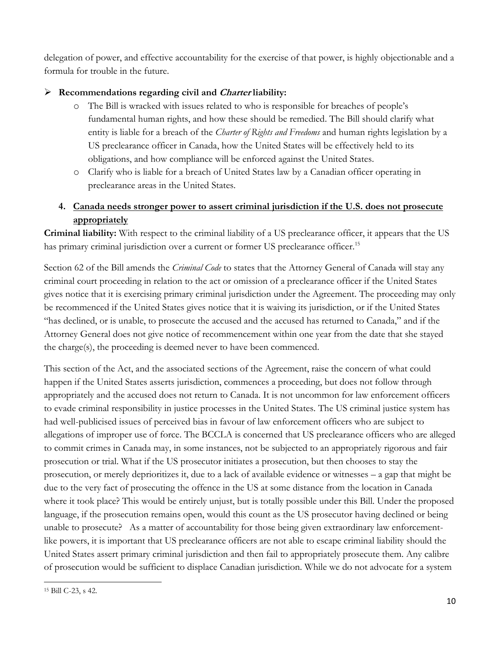delegation of power, and effective accountability for the exercise of that power, is highly objectionable and a formula for trouble in the future.

# **Recommendations regarding civil and Charter liability:**

- o The Bill is wracked with issues related to who is responsible for breaches of people's fundamental human rights, and how these should be remedied. The Bill should clarify what entity is liable for a breach of the *Charter of Rights and Freedoms* and human rights legislation by a US preclearance officer in Canada, how the United States will be effectively held to its obligations, and how compliance will be enforced against the United States.
- o Clarify who is liable for a breach of United States law by a Canadian officer operating in preclearance areas in the United States.

# <span id="page-9-0"></span>**4. Canada needs stronger power to assert criminal jurisdiction if the U.S. does not prosecute appropriately**

**Criminal liability:** With respect to the criminal liability of a US preclearance officer, it appears that the US has primary criminal jurisdiction over a current or former US preclearance officer.<sup>15</sup>

Section 62 of the Bill amends the *Criminal Code* to states that the Attorney General of Canada will stay any criminal court proceeding in relation to the act or omission of a preclearance officer if the United States gives notice that it is exercising primary criminal jurisdiction under the Agreement. The proceeding may only be recommenced if the United States gives notice that it is waiving its jurisdiction, or if the United States "has declined, or is unable, to prosecute the accused and the accused has returned to Canada," and if the Attorney General does not give notice of recommencement within one year from the date that she stayed the charge(s), the proceeding is deemed never to have been commenced.

This section of the Act, and the associated sections of the Agreement, raise the concern of what could happen if the United States asserts jurisdiction, commences a proceeding, but does not follow through appropriately and the accused does not return to Canada. It is not uncommon for law enforcement officers to evade criminal responsibility in justice processes in the United States. The US criminal justice system has had well-publicised issues of perceived bias in favour of law enforcement officers who are subject to allegations of improper use of force. The BCCLA is concerned that US preclearance officers who are alleged to commit crimes in Canada may, in some instances, not be subjected to an appropriately rigorous and fair prosecution or trial. What if the US prosecutor initiates a prosecution, but then chooses to stay the prosecution, or merely deprioritizes it, due to a lack of available evidence or witnesses – a gap that might be due to the very fact of prosecuting the offence in the US at some distance from the location in Canada where it took place? This would be entirely unjust, but is totally possible under this Bill. Under the proposed language, if the prosecution remains open, would this count as the US prosecutor having declined or being unable to prosecute? As a matter of accountability for those being given extraordinary law enforcementlike powers, it is important that US preclearance officers are not able to escape criminal liability should the United States assert primary criminal jurisdiction and then fail to appropriately prosecute them. Any calibre of prosecution would be sufficient to displace Canadian jurisdiction. While we do not advocate for a system

 $\overline{a}$ <sup>15</sup> Bill C-23, s 42.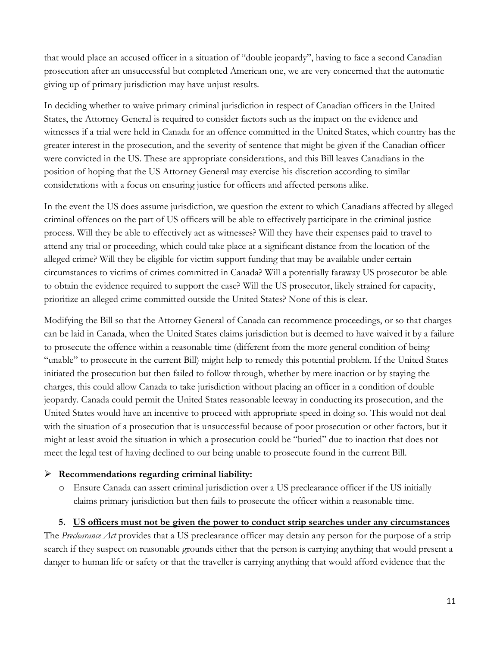that would place an accused officer in a situation of "double jeopardy", having to face a second Canadian prosecution after an unsuccessful but completed American one, we are very concerned that the automatic giving up of primary jurisdiction may have unjust results.

In deciding whether to waive primary criminal jurisdiction in respect of Canadian officers in the United States, the Attorney General is required to consider factors such as the impact on the evidence and witnesses if a trial were held in Canada for an offence committed in the United States, which country has the greater interest in the prosecution, and the severity of sentence that might be given if the Canadian officer were convicted in the US. These are appropriate considerations, and this Bill leaves Canadians in the position of hoping that the US Attorney General may exercise his discretion according to similar considerations with a focus on ensuring justice for officers and affected persons alike.

In the event the US does assume jurisdiction, we question the extent to which Canadians affected by alleged criminal offences on the part of US officers will be able to effectively participate in the criminal justice process. Will they be able to effectively act as witnesses? Will they have their expenses paid to travel to attend any trial or proceeding, which could take place at a significant distance from the location of the alleged crime? Will they be eligible for victim support funding that may be available under certain circumstances to victims of crimes committed in Canada? Will a potentially faraway US prosecutor be able to obtain the evidence required to support the case? Will the US prosecutor, likely strained for capacity, prioritize an alleged crime committed outside the United States? None of this is clear.

Modifying the Bill so that the Attorney General of Canada can recommence proceedings, or so that charges can be laid in Canada, when the United States claims jurisdiction but is deemed to have waived it by a failure to prosecute the offence within a reasonable time (different from the more general condition of being "unable" to prosecute in the current Bill) might help to remedy this potential problem. If the United States initiated the prosecution but then failed to follow through, whether by mere inaction or by staying the charges, this could allow Canada to take jurisdiction without placing an officer in a condition of double jeopardy. Canada could permit the United States reasonable leeway in conducting its prosecution, and the United States would have an incentive to proceed with appropriate speed in doing so. This would not deal with the situation of a prosecution that is unsuccessful because of poor prosecution or other factors, but it might at least avoid the situation in which a prosecution could be "buried" due to inaction that does not meet the legal test of having declined to our being unable to prosecute found in the current Bill.

### **Recommendations regarding criminal liability:**

o Ensure Canada can assert criminal jurisdiction over a US preclearance officer if the US initially claims primary jurisdiction but then fails to prosecute the officer within a reasonable time.

### **5. US officers must not be given the power to conduct strip searches under any circumstances**

<span id="page-10-0"></span>The *Preclearance Act* provides that a US preclearance officer may detain any person for the purpose of a strip search if they suspect on reasonable grounds either that the person is carrying anything that would present a danger to human life or safety or that the traveller is carrying anything that would afford evidence that the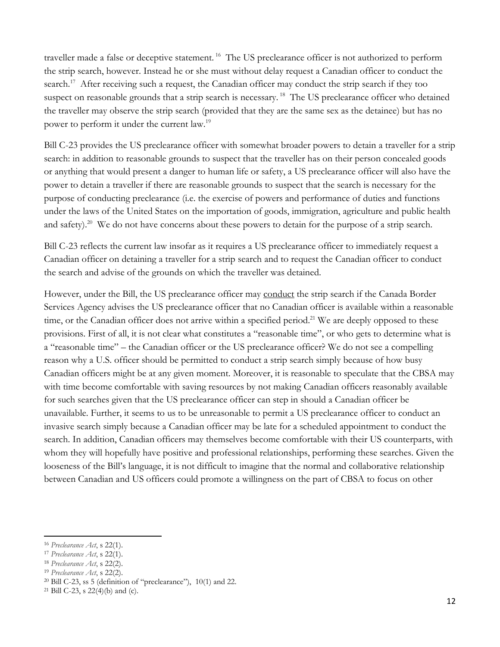traveller made a false or deceptive statement.<sup>16</sup> The US preclearance officer is not authorized to perform the strip search, however. Instead he or she must without delay request a Canadian officer to conduct the search.<sup>17</sup> After receiving such a request, the Canadian officer may conduct the strip search if they too suspect on reasonable grounds that a strip search is necessary.<sup>18</sup> The US preclearance officer who detained the traveller may observe the strip search (provided that they are the same sex as the detainee) but has no power to perform it under the current law.<sup>19</sup>

Bill C-23 provides the US preclearance officer with somewhat broader powers to detain a traveller for a strip search: in addition to reasonable grounds to suspect that the traveller has on their person concealed goods or anything that would present a danger to human life or safety, a US preclearance officer will also have the power to detain a traveller if there are reasonable grounds to suspect that the search is necessary for the purpose of conducting preclearance (i.e. the exercise of powers and performance of duties and functions under the laws of the United States on the importation of goods, immigration, agriculture and public health and safety).<sup>20</sup> We do not have concerns about these powers to detain for the purpose of a strip search.

Bill C-23 reflects the current law insofar as it requires a US preclearance officer to immediately request a Canadian officer on detaining a traveller for a strip search and to request the Canadian officer to conduct the search and advise of the grounds on which the traveller was detained.

However, under the Bill, the US preclearance officer may conduct the strip search if the Canada Border Services Agency advises the US preclearance officer that no Canadian officer is available within a reasonable time, or the Canadian officer does not arrive within a specified period.<sup>21</sup> We are deeply opposed to these provisions. First of all, it is not clear what constitutes a "reasonable time", or who gets to determine what is a "reasonable time" – the Canadian officer or the US preclearance officer? We do not see a compelling reason why a U.S. officer should be permitted to conduct a strip search simply because of how busy Canadian officers might be at any given moment. Moreover, it is reasonable to speculate that the CBSA may with time become comfortable with saving resources by not making Canadian officers reasonably available for such searches given that the US preclearance officer can step in should a Canadian officer be unavailable. Further, it seems to us to be unreasonable to permit a US preclearance officer to conduct an invasive search simply because a Canadian officer may be late for a scheduled appointment to conduct the search. In addition, Canadian officers may themselves become comfortable with their US counterparts, with whom they will hopefully have positive and professional relationships, performing these searches. Given the looseness of the Bill's language, it is not difficult to imagine that the normal and collaborative relationship between Canadian and US officers could promote a willingness on the part of CBSA to focus on other

<sup>16</sup> *Preclearance Act*, s 22(1).

<sup>17</sup> *Preclearance Act*, s 22(1).

<sup>18</sup> *Preclearance Act*, s 22(2).

<sup>19</sup> *Preclearance Act*, s 22(2).

 $20$  Bill C-23, ss 5 (definition of "preclearance"), 10(1) and 22.

<sup>21</sup> Bill C-23, s 22(4)(b) and (c).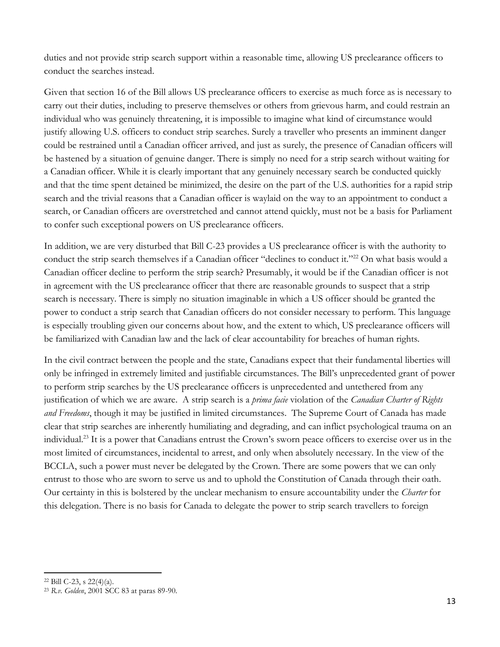duties and not provide strip search support within a reasonable time, allowing US preclearance officers to conduct the searches instead.

Given that section 16 of the Bill allows US preclearance officers to exercise as much force as is necessary to carry out their duties, including to preserve themselves or others from grievous harm, and could restrain an individual who was genuinely threatening, it is impossible to imagine what kind of circumstance would justify allowing U.S. officers to conduct strip searches. Surely a traveller who presents an imminent danger could be restrained until a Canadian officer arrived, and just as surely, the presence of Canadian officers will be hastened by a situation of genuine danger. There is simply no need for a strip search without waiting for a Canadian officer. While it is clearly important that any genuinely necessary search be conducted quickly and that the time spent detained be minimized, the desire on the part of the U.S. authorities for a rapid strip search and the trivial reasons that a Canadian officer is waylaid on the way to an appointment to conduct a search, or Canadian officers are overstretched and cannot attend quickly, must not be a basis for Parliament to confer such exceptional powers on US preclearance officers.

In addition, we are very disturbed that Bill C-23 provides a US preclearance officer is with the authority to conduct the strip search themselves if a Canadian officer "declines to conduct it."<sup>22</sup> On what basis would a Canadian officer decline to perform the strip search? Presumably, it would be if the Canadian officer is not in agreement with the US preclearance officer that there are reasonable grounds to suspect that a strip search is necessary. There is simply no situation imaginable in which a US officer should be granted the power to conduct a strip search that Canadian officers do not consider necessary to perform. This language is especially troubling given our concerns about how, and the extent to which, US preclearance officers will be familiarized with Canadian law and the lack of clear accountability for breaches of human rights.

In the civil contract between the people and the state, Canadians expect that their fundamental liberties will only be infringed in extremely limited and justifiable circumstances. The Bill's unprecedented grant of power to perform strip searches by the US preclearance officers is unprecedented and untethered from any justification of which we are aware. A strip search is a *prima facie* violation of the *Canadian Charter of Rights and Freedoms*, though it may be justified in limited circumstances. The Supreme Court of Canada has made clear that strip searches are inherently humiliating and degrading, and can inflict psychological trauma on an individual.<sup>23</sup> It is a power that Canadians entrust the Crown's sworn peace officers to exercise over us in the most limited of circumstances, incidental to arrest, and only when absolutely necessary. In the view of the BCCLA, such a power must never be delegated by the Crown. There are some powers that we can only entrust to those who are sworn to serve us and to uphold the Constitution of Canada through their oath. Our certainty in this is bolstered by the unclear mechanism to ensure accountability under the *Charter* for this delegation. There is no basis for Canada to delegate the power to strip search travellers to foreign

 $\overline{a}$ <sup>22</sup> Bill C-23, s 22(4)(a).

<sup>23</sup> *R.v. Golden*, 2001 SCC 83 at paras 89-90.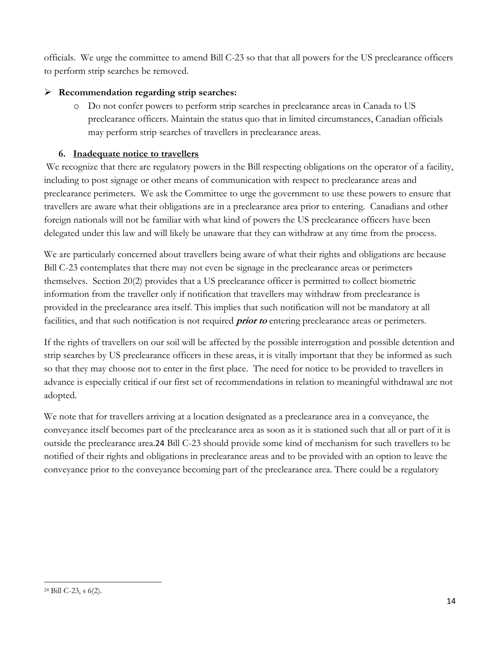officials. We urge the committee to amend Bill C-23 so that that all powers for the US preclearance officers to perform strip searches be removed.

# **Recommendation regarding strip searches:**

o Do not confer powers to perform strip searches in preclearance areas in Canada to US preclearance officers. Maintain the status quo that in limited circumstances, Canadian officials may perform strip searches of travellers in preclearance areas.

# **6. Inadequate notice to travellers**

<span id="page-13-0"></span>We recognize that there are regulatory powers in the Bill respecting obligations on the operator of a facility, including to post signage or other means of communication with respect to preclearance areas and preclearance perimeters. We ask the Committee to urge the government to use these powers to ensure that travellers are aware what their obligations are in a preclearance area prior to entering. Canadians and other foreign nationals will not be familiar with what kind of powers the US preclearance officers have been delegated under this law and will likely be unaware that they can withdraw at any time from the process.

We are particularly concerned about travellers being aware of what their rights and obligations are because Bill C-23 contemplates that there may not even be signage in the preclearance areas or perimeters themselves. Section 20(2) provides that a US preclearance officer is permitted to collect biometric information from the traveller only if notification that travellers may withdraw from preclearance is provided in the preclearance area itself. This implies that such notification will not be mandatory at all facilities, and that such notification is not required **prior to** entering preclearance areas or perimeters.

If the rights of travellers on our soil will be affected by the possible interrogation and possible detention and strip searches by US preclearance officers in these areas, it is vitally important that they be informed as such so that they may choose not to enter in the first place. The need for notice to be provided to travellers in advance is especially critical if our first set of recommendations in relation to meaningful withdrawal are not adopted.

We note that for travellers arriving at a location designated as a preclearance area in a conveyance, the conveyance itself becomes part of the preclearance area as soon as it is stationed such that all or part of it is outside the preclearance area.24 Bill C-23 should provide some kind of mechanism for such travellers to be notified of their rights and obligations in preclearance areas and to be provided with an option to leave the conveyance prior to the conveyance becoming part of the preclearance area. There could be a regulatory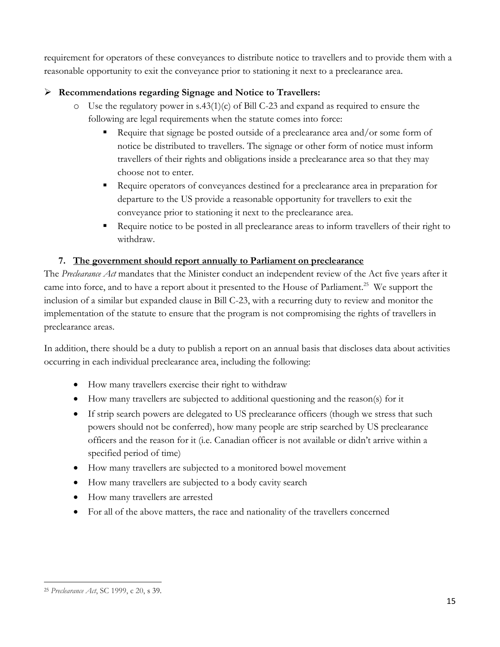requirement for operators of these conveyances to distribute notice to travellers and to provide them with a reasonable opportunity to exit the conveyance prior to stationing it next to a preclearance area.

# **Recommendations regarding Signage and Notice to Travellers:**

- $\circ$  Use the regulatory power in s.43(1)(c) of Bill C-23 and expand as required to ensure the following are legal requirements when the statute comes into force:
	- Require that signage be posted outside of a preclearance area and/or some form of notice be distributed to travellers. The signage or other form of notice must inform travellers of their rights and obligations inside a preclearance area so that they may choose not to enter.
	- Require operators of conveyances destined for a preclearance area in preparation for departure to the US provide a reasonable opportunity for travellers to exit the conveyance prior to stationing it next to the preclearance area.
	- Require notice to be posted in all preclearance areas to inform travellers of their right to withdraw.

## **7. The government should report annually to Parliament on preclearance**

<span id="page-14-0"></span>The *Preclearance Act* mandates that the Minister conduct an independent review of the Act five years after it came into force, and to have a report about it presented to the House of Parliament.<sup>25</sup> We support the inclusion of a similar but expanded clause in Bill C-23, with a recurring duty to review and monitor the implementation of the statute to ensure that the program is not compromising the rights of travellers in preclearance areas.

In addition, there should be a duty to publish a report on an annual basis that discloses data about activities occurring in each individual preclearance area, including the following:

- How many travellers exercise their right to withdraw
- How many travellers are subjected to additional questioning and the reason(s) for it
- If strip search powers are delegated to US preclearance officers (though we stress that such powers should not be conferred), how many people are strip searched by US preclearance officers and the reason for it (i.e. Canadian officer is not available or didn't arrive within a specified period of time)
- How many travellers are subjected to a monitored bowel movement
- How many travellers are subjected to a body cavity search
- How many travellers are arrested
- For all of the above matters, the race and nationality of the travellers concerned

 $\overline{a}$ <sup>25</sup> *Preclearance Act*, SC 1999, c 20, s 39.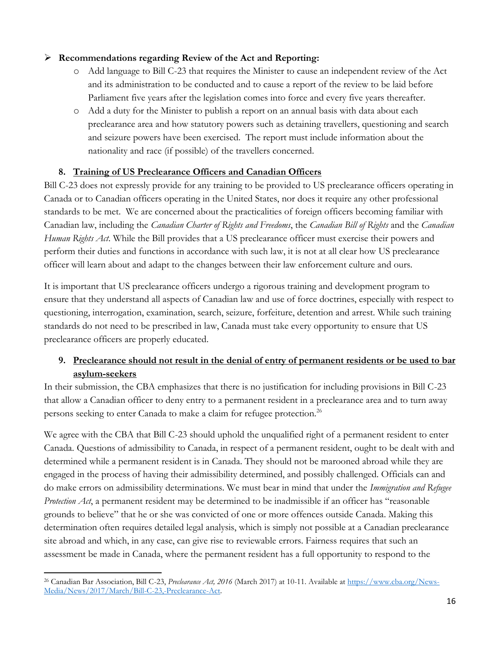### **Recommendations regarding Review of the Act and Reporting:**

- o Add language to Bill C-23 that requires the Minister to cause an independent review of the Act and its administration to be conducted and to cause a report of the review to be laid before Parliament five years after the legislation comes into force and every five years thereafter.
- o Add a duty for the Minister to publish a report on an annual basis with data about each preclearance area and how statutory powers such as detaining travellers, questioning and search and seizure powers have been exercised. The report must include information about the nationality and race (if possible) of the travellers concerned.

### **8. Training of US Preclearance Officers and Canadian Officers**

<span id="page-15-0"></span>Bill C-23 does not expressly provide for any training to be provided to US preclearance officers operating in Canada or to Canadian officers operating in the United States, nor does it require any other professional standards to be met. We are concerned about the practicalities of foreign officers becoming familiar with Canadian law, including the *Canadian Charter of Rights and Freedoms*, the *Canadian Bill of Rights* and the *Canadian Human Rights Act*. While the Bill provides that a US preclearance officer must exercise their powers and perform their duties and functions in accordance with such law, it is not at all clear how US preclearance officer will learn about and adapt to the changes between their law enforcement culture and ours.

It is important that US preclearance officers undergo a rigorous training and development program to ensure that they understand all aspects of Canadian law and use of force doctrines, especially with respect to questioning, interrogation, examination, search, seizure, forfeiture, detention and arrest. While such training standards do not need to be prescribed in law, Canada must take every opportunity to ensure that US preclearance officers are properly educated.

# <span id="page-15-1"></span>**9. Preclearance should not result in the denial of entry of permanent residents or be used to bar asylum-seekers**

In their submission, the CBA emphasizes that there is no justification for including provisions in Bill C-23 that allow a Canadian officer to deny entry to a permanent resident in a preclearance area and to turn away persons seeking to enter Canada to make a claim for refugee protection.<sup>26</sup>

We agree with the CBA that Bill C-23 should uphold the unqualified right of a permanent resident to enter Canada. Questions of admissibility to Canada, in respect of a permanent resident, ought to be dealt with and determined while a permanent resident is in Canada. They should not be marooned abroad while they are engaged in the process of having their admissibility determined, and possibly challenged. Officials can and do make errors on admissibility determinations. We must bear in mind that under the *Immigration and Refugee Protection Act*, a permanent resident may be determined to be inadmissible if an officer has "reasonable grounds to believe" that he or she was convicted of one or more offences outside Canada. Making this determination often requires detailed legal analysis, which is simply not possible at a Canadian preclearance site abroad and which, in any case, can give rise to reviewable errors. Fairness requires that such an assessment be made in Canada, where the permanent resident has a full opportunity to respond to the

 $\overline{a}$ <sup>26</sup> Canadian Bar Association, Bill C-23, *Preclearance Act, 2016* (March 2017) at 10-11. Available a[t https://www.cba.org/News-](https://www.cba.org/News-Media/News/2017/March/Bill-C-23,-Preclearance-Act)[Media/News/2017/March/Bill-C-23,-Preclearance-Act.](https://www.cba.org/News-Media/News/2017/March/Bill-C-23,-Preclearance-Act)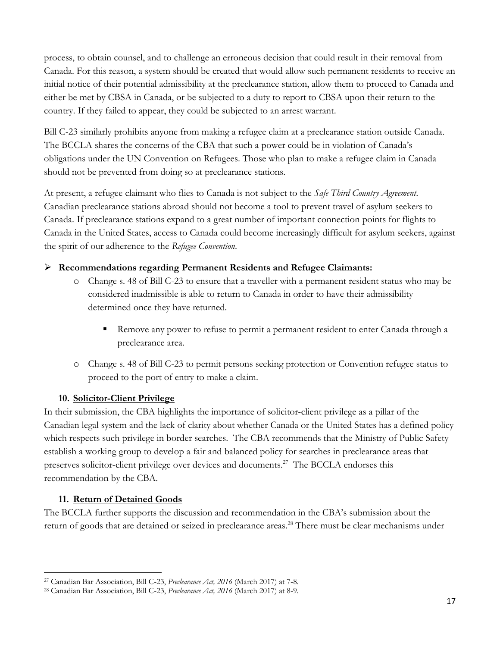process, to obtain counsel, and to challenge an erroneous decision that could result in their removal from Canada. For this reason, a system should be created that would allow such permanent residents to receive an initial notice of their potential admissibility at the preclearance station, allow them to proceed to Canada and either be met by CBSA in Canada, or be subjected to a duty to report to CBSA upon their return to the country. If they failed to appear, they could be subjected to an arrest warrant.

Bill C-23 similarly prohibits anyone from making a refugee claim at a preclearance station outside Canada. The BCCLA shares the concerns of the CBA that such a power could be in violation of Canada's obligations under the UN Convention on Refugees. Those who plan to make a refugee claim in Canada should not be prevented from doing so at preclearance stations.

At present, a refugee claimant who flies to Canada is not subject to the *Safe Third Country Agreement*. Canadian preclearance stations abroad should not become a tool to prevent travel of asylum seekers to Canada. If preclearance stations expand to a great number of important connection points for flights to Canada in the United States, access to Canada could become increasingly difficult for asylum seekers, against the spirit of our adherence to the *Refugee Convention*.

### **Recommendations regarding Permanent Residents and Refugee Claimants:**

- o Change s. 48 of Bill C-23 to ensure that a traveller with a permanent resident status who may be considered inadmissible is able to return to Canada in order to have their admissibility determined once they have returned.
	- **Remove any power to refuse to permit a permanent resident to enter Canada through a** preclearance area.
- o Change s. 48 of Bill C-23 to permit persons seeking protection or Convention refugee status to proceed to the port of entry to make a claim.

### **10. Solicitor-Client Privilege**

<span id="page-16-0"></span>In their submission, the CBA highlights the importance of solicitor-client privilege as a pillar of the Canadian legal system and the lack of clarity about whether Canada or the United States has a defined policy which respects such privilege in border searches. The CBA recommends that the Ministry of Public Safety establish a working group to develop a fair and balanced policy for searches in preclearance areas that preserves solicitor-client privilege over devices and documents.<sup>27</sup> The BCCLA endorses this recommendation by the CBA.

## **11. Return of Detained Goods**

 $\overline{a}$ 

<span id="page-16-1"></span>The BCCLA further supports the discussion and recommendation in the CBA's submission about the return of goods that are detained or seized in preclearance areas.<sup>28</sup> There must be clear mechanisms under

<sup>27</sup> Canadian Bar Association, Bill C-23, *Preclearance Act, 2016* (March 2017) at 7-8.

<sup>28</sup> Canadian Bar Association, Bill C-23, *Preclearance Act, 2016* (March 2017) at 8-9.